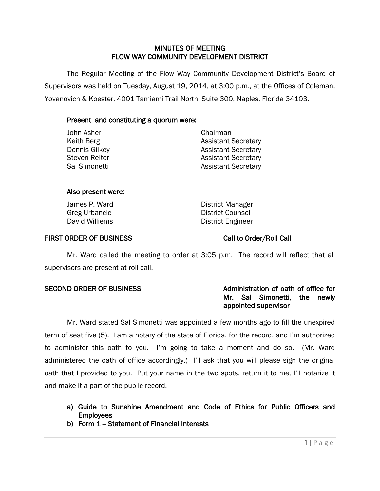# MINUTES OF MEETING FLOW WAY COMMUNITY DEVELOPMENT DISTRICT

 The Regular Meeting of the Flow Way Community Development District's Board of Supervisors was held on Tuesday, August 19, 2014, at 3:00 p.m., at the Offices of Coleman, Yovanovich & Koester, 4001 Tamiami Trail North, Suite 300, Naples, Florida 34103.

# Present and constituting a quorum were:

| John Asher           | Chairman                   |
|----------------------|----------------------------|
| Keith Berg           | <b>Assistant Secretary</b> |
| Dennis Gilkey        | <b>Assistant Secretary</b> |
| <b>Steven Reiter</b> | <b>Assistant Secretary</b> |
| Sal Simonetti        | <b>Assistant Secretary</b> |
|                      |                            |

## Also present were:

| James P. Ward  |
|----------------|
| Greg Urbancic  |
| David Williems |

District Manager District Counsel District Engineer

# FIRST ORDER OF BUSINESS Call to Order/Roll Call

Mr. Ward called the meeting to order at 3:05 p.m. The record will reflect that all supervisors are present at roll call.

# SECOND ORDER OF BUSINESS And the metal administration of oath of office for Mr. Sal Simonetti, the newly appointed supervisor

Mr. Ward stated Sal Simonetti was appointed a few months ago to fill the unexpired term of seat five (5). I am a notary of the state of Florida, for the record, and I'm authorized to administer this oath to you. I'm going to take a moment and do so. (Mr. Ward administered the oath of office accordingly.) I'll ask that you will please sign the original oath that I provided to you. Put your name in the two spots, return it to me, I'll notarize it and make it a part of the public record.

- a) Guide to Sunshine Amendment and Code of Ethics for Public Officers and **Employees**
- b) Form  $1 -$  Statement of Financial Interests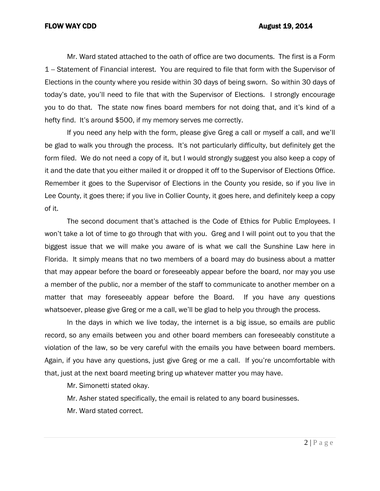Mr. Ward stated attached to the oath of office are two documents. The first is a Form 1 -- Statement of Financial interest. You are required to file that form with the Supervisor of Elections in the county where you reside within 30 days of being sworn. So within 30 days of today's date, you'll need to file that with the Supervisor of Elections. I strongly encourage you to do that. The state now fines board members for not doing that, and it's kind of a hefty find. It's around \$500, if my memory serves me correctly.

If you need any help with the form, please give Greg a call or myself a call, and we'll be glad to walk you through the process. It's not particularly difficulty, but definitely get the form filed. We do not need a copy of it, but I would strongly suggest you also keep a copy of it and the date that you either mailed it or dropped it off to the Supervisor of Elections Office. Remember it goes to the Supervisor of Elections in the County you reside, so if you live in Lee County, it goes there; if you live in Collier County, it goes here, and definitely keep a copy of it.

The second document that's attached is the Code of Ethics for Public Employees. I won't take a lot of time to go through that with you. Greg and I will point out to you that the biggest issue that we will make you aware of is what we call the Sunshine Law here in Florida. It simply means that no two members of a board may do business about a matter that may appear before the board or foreseeably appear before the board, nor may you use a member of the public, nor a member of the staff to communicate to another member on a matter that may foreseeably appear before the Board. If you have any questions whatsoever, please give Greg or me a call, we'll be glad to help you through the process.

In the days in which we live today, the internet is a big issue, so emails are public record, so any emails between you and other board members can foreseeably constitute a violation of the law, so be very careful with the emails you have between board members. Again, if you have any questions, just give Greg or me a call. If you're uncomfortable with that, just at the next board meeting bring up whatever matter you may have.

Mr. Simonetti stated okay.

Mr. Asher stated specifically, the email is related to any board businesses.

Mr. Ward stated correct.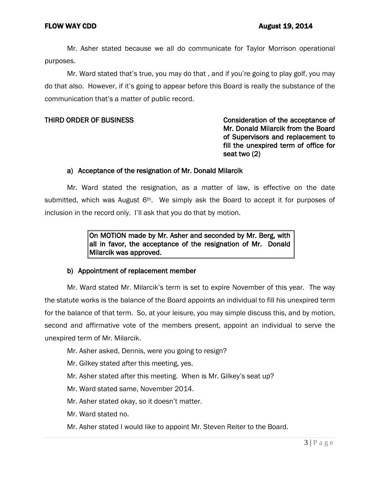Mr. Asher stated because we all do communicate for Taylor Morrison operational purposes.

Mr. Ward stated that's true, you may do that , and if you're going to play golf, you may do that also. However, if it's going to appear before this Board is really the substance of the communication that's a matter of public record.

# THIRD ORDER OF BUSINESS CONSIDER THIRD ORDER OF BUSINESS Mr. Donald Milarcik from the Board of Supervisors and replacement to fill the unexpired term of office for seat two (2)

## a) Acceptance of the resignation of Mr. Donald Milarcik

Mr. Ward stated the resignation, as a matter of law, is effective on the date submitted, which was August 6<sup>th</sup>. We simply ask the Board to accept it for purposes of inclusion in the record only. I'll ask that you do that by motion.

> On MOTION made by Mr. Asher and seconded by Mr. Berg, with all in favor, the acceptance of the resignation of Mr. Donald Milarcik was approved.

### b) Appointment of replacement member

Mr. Ward stated Mr. Milarcik's term is set to expire November of this year. The way the statute works is the balance of the Board appoints an individual to fill his unexpired term for the balance of that term. So, at your leisure, you may simple discuss this, and by motion, second and affirmative vote of the members present, appoint an individual to serve the unexpired term of Mr. Milarcik.

- Mr. Asher asked, Dennis, were you going to resign?
- Mr. Gilkey stated after this meeting, yes.
- Mr. Asher stated after this meeting. When is Mr. Gilkey's seat up?
- Mr. Ward stated same, November 2014.
- Mr. Asher stated okay, so it doesn't matter.
- Mr. Ward stated no.
- Mr. Asher stated I would like to appoint Mr. Steven Reiter to the Board.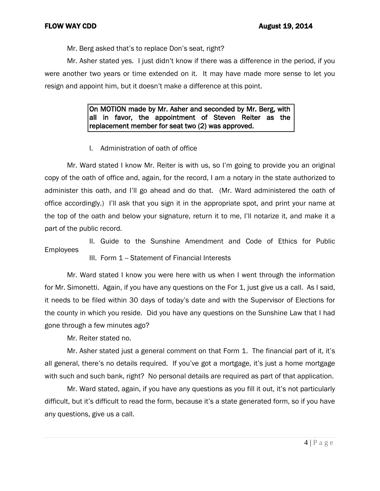Mr. Berg asked that's to replace Don's seat, right?

Mr. Asher stated yes. I just didn't know if there was a difference in the period, if you were another two years or time extended on it. It may have made more sense to let you resign and appoint him, but it doesn't make a difference at this point.

> On MOTION made by Mr. Asher and seconded by Mr. Berg, with all in favor, the appointment of Steven Reiter as the replacement member for seat two (2) was approved.

I. Administration of oath of office

Mr. Ward stated I know Mr. Reiter is with us, so I'm going to provide you an original copy of the oath of office and, again, for the record, I am a notary in the state authorized to administer this oath, and I'll go ahead and do that. (Mr. Ward administered the oath of office accordingly.) I'll ask that you sign it in the appropriate spot, and print your name at the top of the oath and below your signature, return it to me, I'll notarize it, and make it a part of the public record.

II. Guide to the Sunshine Amendment and Code of Ethics for Public Employees

III. Form 1 - Statement of Financial Interests

Mr. Ward stated I know you were here with us when I went through the information for Mr. Simonetti. Again, if you have any questions on the For 1, just give us a call. As I said, it needs to be filed within 30 days of today's date and with the Supervisor of Elections for the county in which you reside. Did you have any questions on the Sunshine Law that I had gone through a few minutes ago?

Mr. Reiter stated no.

Mr. Asher stated just a general comment on that Form 1. The financial part of it, it's all general, there's no details required. If you've got a mortgage, it's just a home mortgage with such and such bank, right? No personal details are required as part of that application.

Mr. Ward stated, again, if you have any questions as you fill it out, it's not particularly difficult, but it's difficult to read the form, because it's a state generated form, so if you have any questions, give us a call.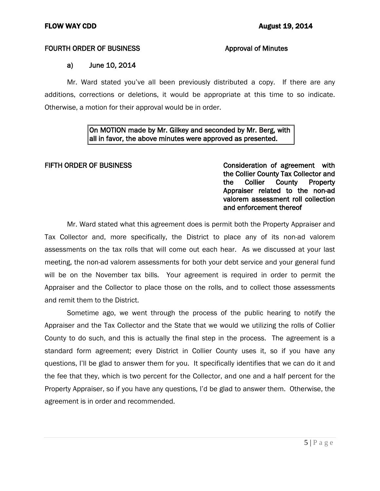## FOURTH ORDER OF BUSINESS **Approval of Minutes**

# a) June 10, 2014

Mr. Ward stated you've all been previously distributed a copy. If there are any additions, corrections or deletions, it would be appropriate at this time to so indicate. Otherwise, a motion for their approval would be in order.

# On MOTION made by Mr. Gilkey and seconded by Mr. Berg, with all in favor, the above minutes were approved as presented.

FIFTH ORDER OF BUSINESS **Consideration of agreement** with the Collier County Tax Collector and the Collier County Property Appraiser related to the non-ad valorem assessment roll collection and enforcement thereof

Mr. Ward stated what this agreement does is permit both the Property Appraiser and Tax Collector and, more specifically, the District to place any of its non-ad valorem assessments on the tax rolls that will come out each hear. As we discussed at your last meeting, the non-ad valorem assessments for both your debt service and your general fund will be on the November tax bills. Your agreement is required in order to permit the Appraiser and the Collector to place those on the rolls, and to collect those assessments and remit them to the District.

Sometime ago, we went through the process of the public hearing to notify the Appraiser and the Tax Collector and the State that we would we utilizing the rolls of Collier County to do such, and this is actually the final step in the process. The agreement is a standard form agreement; every District in Collier County uses it, so if you have any questions, I'll be glad to answer them for you. It specifically identifies that we can do it and the fee that they, which is two percent for the Collector, and one and a half percent for the Property Appraiser, so if you have any questions, I'd be glad to answer them. Otherwise, the agreement is in order and recommended.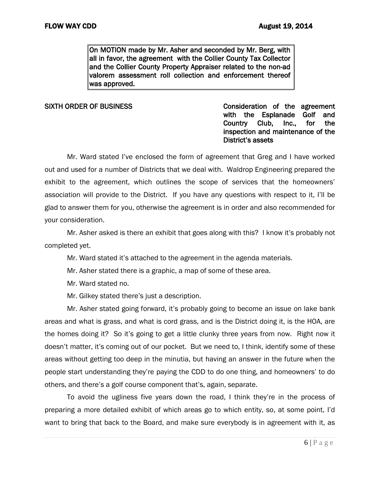On MOTION made by Mr. Asher and seconded by Mr. Berg, with all in favor, the agreement with the Collier County Tax Collector and the Collier County Property Appraiser related to the non-ad valorem assessment roll collection and enforcement thereof was approved.

SIXTH ORDER OF BUSINESS CONSIDERATION CONSIDERATION Of the agreement with the Esplanade Golf and Country Club, Inc., for the inspection and maintenance of the District's assets

Mr. Ward stated I've enclosed the form of agreement that Greg and I have worked out and used for a number of Districts that we deal with. Waldrop Engineering prepared the exhibit to the agreement, which outlines the scope of services that the homeowners' association will provide to the District. If you have any questions with respect to it, I'll be glad to answer them for you, otherwise the agreement is in order and also recommended for your consideration.

Mr. Asher asked is there an exhibit that goes along with this? I know it's probably not completed yet.

Mr. Ward stated it's attached to the agreement in the agenda materials.

Mr. Asher stated there is a graphic, a map of some of these area.

Mr. Ward stated no.

Mr. Gilkey stated there's just a description.

Mr. Asher stated going forward, it's probably going to become an issue on lake bank areas and what is grass, and what is cord grass, and is the District doing it, is the HOA, are the homes doing it? So it's going to get a little clunky three years from now. Right now it doesn't matter, it's coming out of our pocket. But we need to, I think, identify some of these areas without getting too deep in the minutia, but having an answer in the future when the people start understanding they're paying the CDD to do one thing, and homeowners' to do others, and there's a golf course component that's, again, separate.

To avoid the ugliness five years down the road, I think they're in the process of preparing a more detailed exhibit of which areas go to which entity, so, at some point, I'd want to bring that back to the Board, and make sure everybody is in agreement with it, as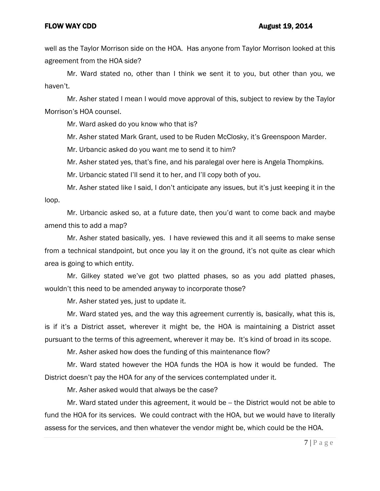well as the Taylor Morrison side on the HOA. Has anyone from Taylor Morrison looked at this agreement from the HOA side?

Mr. Ward stated no, other than I think we sent it to you, but other than you, we haven't.

Mr. Asher stated I mean I would move approval of this, subject to review by the Taylor Morrison's HOA counsel.

Mr. Ward asked do you know who that is?

Mr. Asher stated Mark Grant, used to be Ruden McClosky, it's Greenspoon Marder.

Mr. Urbancic asked do you want me to send it to him?

Mr. Asher stated yes, that's fine, and his paralegal over here is Angela Thompkins.

Mr. Urbancic stated I'll send it to her, and I'll copy both of you.

Mr. Asher stated like I said, I don't anticipate any issues, but it's just keeping it in the loop.

Mr. Urbancic asked so, at a future date, then you'd want to come back and maybe amend this to add a map?

Mr. Asher stated basically, yes. I have reviewed this and it all seems to make sense from a technical standpoint, but once you lay it on the ground, it's not quite as clear which area is going to which entity.

Mr. Gilkey stated we've got two platted phases, so as you add platted phases, wouldn't this need to be amended anyway to incorporate those?

Mr. Asher stated yes, just to update it.

Mr. Ward stated yes, and the way this agreement currently is, basically, what this is, is if it's a District asset, wherever it might be, the HOA is maintaining a District asset pursuant to the terms of this agreement, wherever it may be. It's kind of broad in its scope.

Mr. Asher asked how does the funding of this maintenance flow?

Mr. Ward stated however the HOA funds the HOA is how it would be funded. The District doesn't pay the HOA for any of the services contemplated under it.

Mr. Asher asked would that always be the case?

Mr. Ward stated under this agreement, it would be -- the District would not be able to fund the HOA for its services. We could contract with the HOA, but we would have to literally assess for the services, and then whatever the vendor might be, which could be the HOA.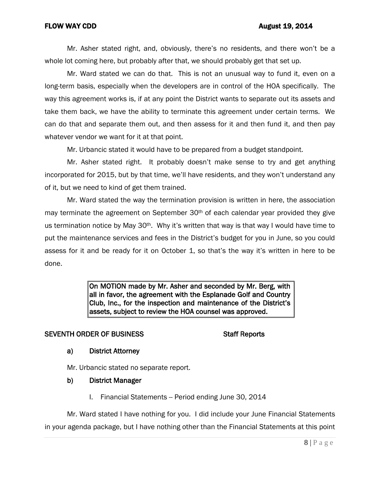Mr. Asher stated right, and, obviously, there's no residents, and there won't be a whole lot coming here, but probably after that, we should probably get that set up.

Mr. Ward stated we can do that. This is not an unusual way to fund it, even on a long-term basis, especially when the developers are in control of the HOA specifically. The way this agreement works is, if at any point the District wants to separate out its assets and take them back, we have the ability to terminate this agreement under certain terms. We can do that and separate them out, and then assess for it and then fund it, and then pay whatever vendor we want for it at that point.

Mr. Urbancic stated it would have to be prepared from a budget standpoint.

Mr. Asher stated right. It probably doesn't make sense to try and get anything incorporated for 2015, but by that time, we'll have residents, and they won't understand any of it, but we need to kind of get them trained.

Mr. Ward stated the way the termination provision is written in here, the association may terminate the agreement on September  $30<sup>th</sup>$  of each calendar year provided they give us termination notice by May 30<sup>th</sup>. Why it's written that way is that way I would have time to put the maintenance services and fees in the District's budget for you in June, so you could assess for it and be ready for it on October 1, so that's the way it's written in here to be done.

> On MOTION made by Mr. Asher and seconded by Mr. Berg, with all in favor, the agreement with the Esplanade Golf and Country Club, Inc., for the inspection and maintenance of the District's assets, subject to review the HOA counsel was approved.

# SEVENTH ORDER OF BUSINESS SEVENTH ORDER OF BUSINESS

# a) District Attorney

Mr. Urbancic stated no separate report.

- b) District Manager
	- I. Financial Statements -- Period ending June 30, 2014

Mr. Ward stated I have nothing for you. I did include your June Financial Statements in your agenda package, but I have nothing other than the Financial Statements at this point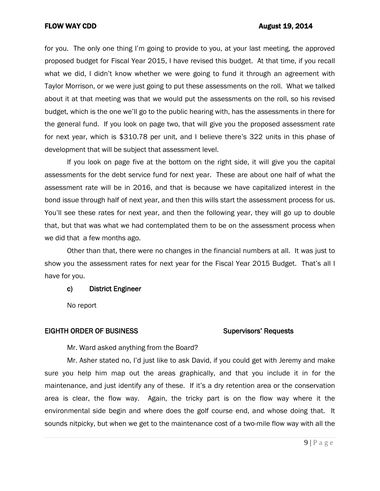## FLOW WAY CDD **August 19, 2014**

for you. The only one thing I'm going to provide to you, at your last meeting, the approved proposed budget for Fiscal Year 2015, I have revised this budget. At that time, if you recall what we did, I didn't know whether we were going to fund it through an agreement with Taylor Morrison, or we were just going to put these assessments on the roll. What we talked about it at that meeting was that we would put the assessments on the roll, so his revised budget, which is the one we'll go to the public hearing with, has the assessments in there for the general fund. If you look on page two, that will give you the proposed assessment rate for next year, which is \$310.78 per unit, and I believe there's 322 units in this phase of development that will be subject that assessment level.

If you look on page five at the bottom on the right side, it will give you the capital assessments for the debt service fund for next year. These are about one half of what the assessment rate will be in 2016, and that is because we have capitalized interest in the bond issue through half of next year, and then this wills start the assessment process for us. You'll see these rates for next year, and then the following year, they will go up to double that, but that was what we had contemplated them to be on the assessment process when we did that a few months ago.

Other than that, there were no changes in the financial numbers at all. It was just to show you the assessment rates for next year for the Fiscal Year 2015 Budget. That's all I have for you.

### c) District Engineer

No report

### EIGHTH ORDER OF BUSINESS Supervisors' Requests

Mr. Ward asked anything from the Board?

Mr. Asher stated no, I'd just like to ask David, if you could get with Jeremy and make sure you help him map out the areas graphically, and that you include it in for the maintenance, and just identify any of these. If it's a dry retention area or the conservation area is clear, the flow way. Again, the tricky part is on the flow way where it the environmental side begin and where does the golf course end, and whose doing that. It sounds nitpicky, but when we get to the maintenance cost of a two-mile flow way with all the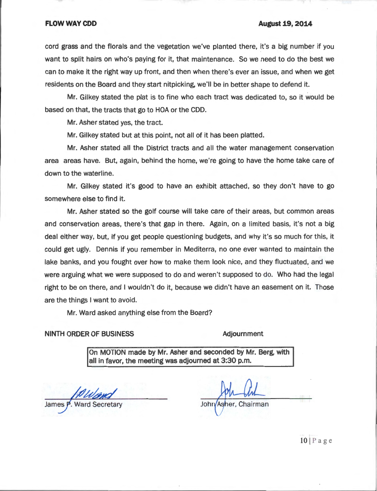### **FLOW WAY CDD**

### **August 19, 2014**

cord grass and the florals and the vegetation we've planted there, it's a big number if you want to split hairs on who's paying for it, that maintenance. So we need to do the best we can to make it the right way up front, and then when there's ever an issue, and when we get residents on the Board and they start nitpicking, we'll be in better shape to defend it.

Mr. Gilkey stated the plat is to fine who each tract was dedicated to, so it would be based on that, the tracts that go to HOA or the CDD.

Mr. Asher stated yes, the tract.

Mr. Gilkey stated but at this point, not all of it has been platted.

Mr. Asher stated all the District tracts and all the water management conservation area areas have. But, again, behind the home, we're going to have the home take care of down to the waterline.

Mr. Gilkey stated it's good to have an exhibit attached, so they don't have to go somewhere else to find it.

Mr. Asher stated so the golf course will take care of their areas, but common areas and conservation areas, there's that gap in there. Again, on a limited basis, it's not a big deal either way, but, if you get people questioning budgets, and why it's so much for this, it could get ugly. Dennis if you remember in Mediterra, no one ever wanted to maintain the lake banks, and you fought over how to make them look nice, and they fluctuated, and we were arguing what we were supposed to do and weren't supposed to do. Who had the legal right to be on there, and I wouldn't do it, because we didn't have an easement on it. Those are the things I want to avoid.

Mr. Ward asked anything else from the Board?

**NINTH ORDER OF BUSINESS** 

### **Adjournment**

On MOTION made by Mr. Asher and seconded by Mr. Berg, with all in favor, the meeting was adjourned at 3:30 p.m.

James P. Ward Secretary

John/Asher, Chairman

 $10$  | Page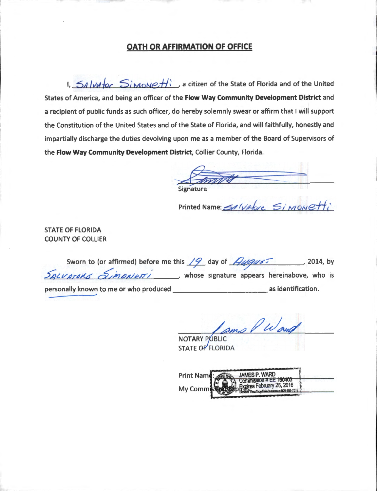# OATH OR AFFIRMATION OF OFFICE

1,  $54$   $\nu$   $\nu$   $\sigma$   $\sim$   $5$   $\nu$   $\sigma$   $\nu$   $\sigma$   $\nu$   $\sigma$   $\nu$   $\sigma$   $\nu$  a citizen of the State of Florida and of the United States of America, and being an officer of the Flow Way Community Development District and a recipient of public funds as such officer, do hereby solemnly swear or affirm that I will support the Constitution of the United States and of the State of Florida, and will faithfully, honestly and impartially discharge the duties devolving upon me as a member of the Board of Supervisors of the Flow Way Community Development District, Collier County, Florida.

Printed Name: SAlvatore

**STATE OF FLORIDA COUNTY OF COLLIER** 

| Sworn to (or affirmed) before me this $\sqrt{9}$ day of $\sqrt{9}$ |  |                                             | , 2014, by |
|--------------------------------------------------------------------|--|---------------------------------------------|------------|
| SALVATORE SIMONETTI                                                |  | whose signature appears hereinabove, who is |            |
| personally known to me or who produced                             |  | as identification.                          |            |

ams P Wand

**NOTARY PUBLIC STATE OF FLORIDA** 

| Print Name:   | JAMES P. WARD                                                             |  |
|---------------|---------------------------------------------------------------------------|--|
| My Commission | $\bigcirc$ $\bigcirc$ Commission # EE 150403<br>Expires February 26, 2016 |  |